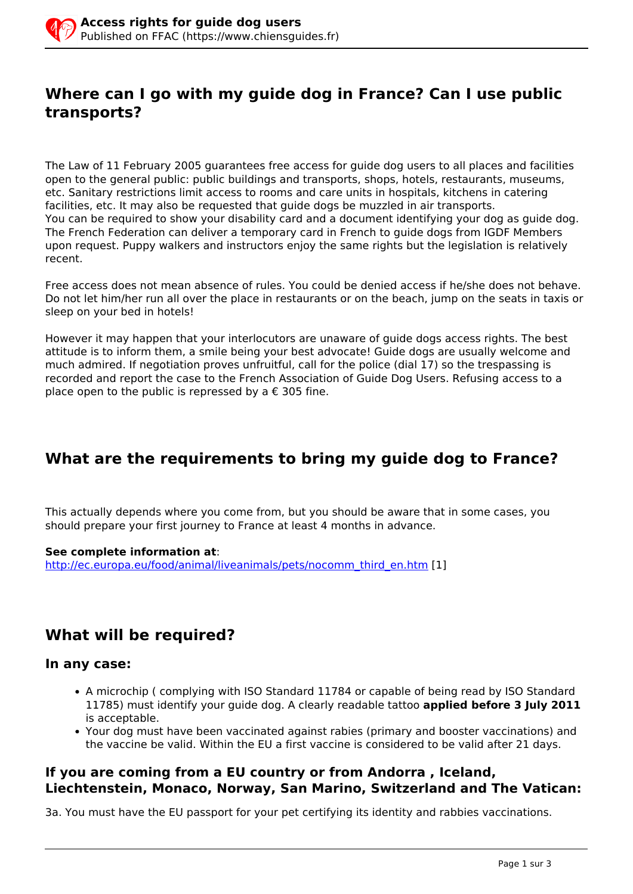# **Where can I go with my guide dog in France? Can I use public transports?**

The Law of 11 February 2005 guarantees free access for guide dog users to all places and facilities open to the general public: public buildings and transports, shops, hotels, restaurants, museums, etc. Sanitary restrictions limit access to rooms and care units in hospitals, kitchens in catering facilities, etc. It may also be requested that guide dogs be muzzled in air transports. You can be required to show your disability card and a document identifying your dog as guide dog. The French Federation can deliver a temporary card in French to guide dogs from IGDF Members upon request. Puppy walkers and instructors enjoy the same rights but the legislation is relatively recent.

Free access does not mean absence of rules. You could be denied access if he/she does not behave. Do not let him/her run all over the place in restaurants or on the beach, jump on the seats in taxis or sleep on your bed in hotels!

However it may happen that your interlocutors are unaware of guide dogs access rights. The best attitude is to inform them, a smile being your best advocate! Guide dogs are usually welcome and much admired. If negotiation proves unfruitful, call for the police (dial 17) so the trespassing is recorded and report the case to the French Association of Guide Dog Users. Refusing access to a place open to the public is repressed by a  $\epsilon$  305 fine.

# **What are the requirements to bring my guide dog to France?**

This actually depends where you come from, but you should be aware that in some cases, you should prepare your first journey to France at least 4 months in advance.

#### **See complete information at**:

[http://ec.europa.eu/food/animal/liveanimals/pets/nocomm\\_third\\_en.htm](http://ec.europa.eu/food/animal/liveanimals/pets/nocomm_third_en.htm) [1]

# **What will be required?**

### **In any case:**

- A microchip ( complying with ISO Standard 11784 or capable of being read by ISO Standard 11785) must identify your guide dog. A clearly readable tattoo **applied before 3 July 2011** is acceptable.
- Your dog must have been vaccinated against rabies (primary and booster vaccinations) and the vaccine be valid. Within the EU a first vaccine is considered to be valid after 21 days.

### **If you are coming from a EU country or from Andorra , Iceland, Liechtenstein, Monaco, Norway, San Marino, Switzerland and The Vatican:**

3a. You must have the EU passport for your pet certifying its identity and rabbies vaccinations.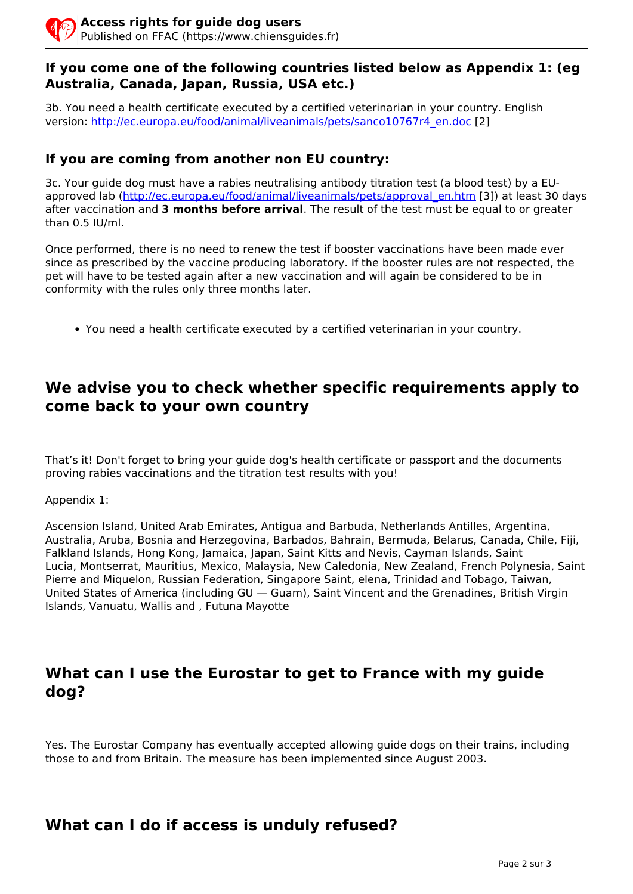### **If you come one of the following countries listed below as Appendix 1: (eg Australia, Canada, Japan, Russia, USA etc.)**

3b. You need a health certificate executed by a certified veterinarian in your country. English version: [http://ec.europa.eu/food/animal/liveanimals/pets/sanco10767r4\\_en.doc](http://ec.europa.eu/food/animal/liveanimals/pets/sanco10767r4_en.doc) [2]

### **If you are coming from another non EU country:**

3c. Your guide dog must have a rabies neutralising antibody titration test (a blood test) by a EUapproved lab ([http://ec.europa.eu/food/animal/liveanimals/pets/approval\\_en.htm](http://ec.europa.eu/food/animal/liveanimals/pets/approval_en.htm) [3]) at least 30 days after vaccination and **3 months before arrival**. The result of the test must be equal to or greater than 0.5 IU/ml.

Once performed, there is no need to renew the test if booster vaccinations have been made ever since as prescribed by the vaccine producing laboratory. If the booster rules are not respected, the pet will have to be tested again after a new vaccination and will again be considered to be in conformity with the rules only three months later.

You need a health certificate executed by a certified veterinarian in your country.

# **We advise you to check whether specific requirements apply to come back to your own country**

That's it! Don't forget to bring your guide dog's health certificate or passport and the documents proving rabies vaccinations and the titration test results with you!

Appendix 1:

Ascension Island, United Arab Emirates, Antigua and Barbuda, Netherlands Antilles, Argentina, Australia, Aruba, Bosnia and Herzegovina, Barbados, Bahrain, Bermuda, Belarus, Canada, Chile, Fiji, Falkland Islands, Hong Kong, Jamaica, Japan, Saint Kitts and Nevis, Cayman Islands, Saint Lucia, Montserrat, Mauritius, Mexico, Malaysia, New Caledonia, New Zealand, French Polynesia, Saint Pierre and Miquelon, Russian Federation, Singapore Saint, elena, Trinidad and Tobago, Taiwan, United States of America (including GU — Guam), Saint Vincent and the Grenadines, British Virgin Islands, Vanuatu, Wallis and , Futuna Mayotte

# **What can I use the Eurostar to get to France with my guide dog?**

Yes. The Eurostar Company has eventually accepted allowing guide dogs on their trains, including those to and from Britain. The measure has been implemented since August 2003.

# **What can I do if access is unduly refused?**